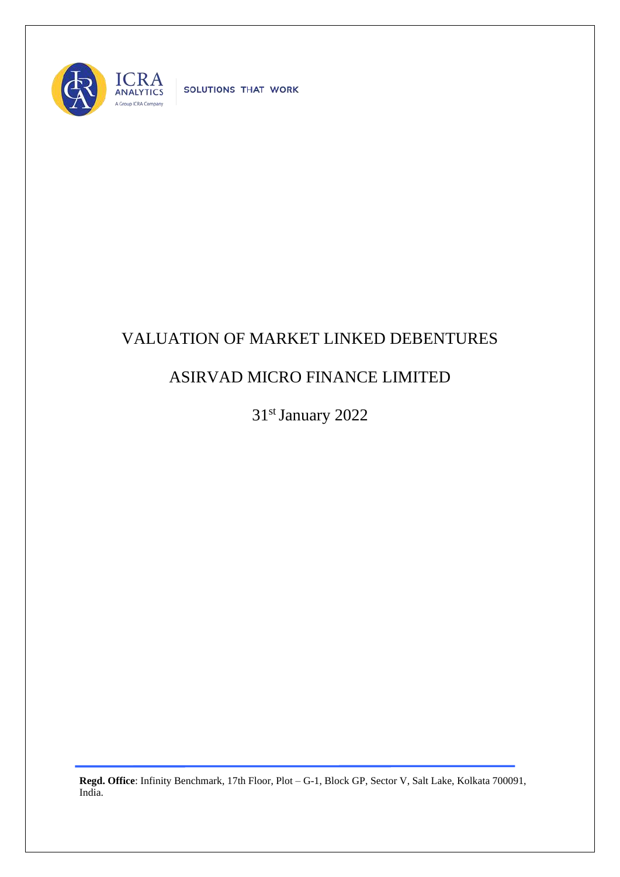

SOLUTIONS THAT WORK

## VALUATION OF MARKET LINKED DEBENTURES

## ASIRVAD MICRO FINANCE LIMITED

31st January 2022

**Regd. Office**: Infinity Benchmark, 17th Floor, Plot – G-1, Block GP, Sector V, Salt Lake, Kolkata 700091, India.